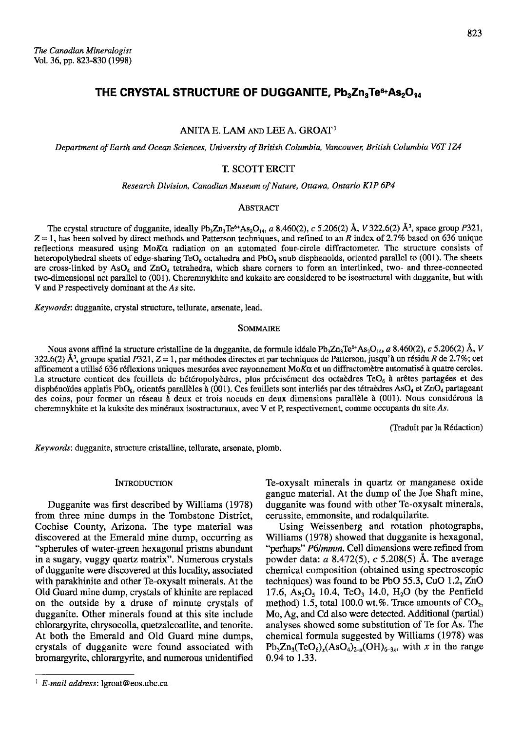ANITA E. LAM AND LEE A. GROAT<sup>1</sup>

Department of Earth and Ocean Sciences, University of British Columbia, Vancouver, British Columbia V6T 1Z4

# T. SCOTT ERCIT

Research Division, Canadian Museum of Nature, Ottawa, Ontario K1P 6P4

## **ABSTRACT**

The crystal structure of dugganite, ideally Pb<sub>3</sub>Zn<sub>3</sub>Te<sup>6+</sup>As<sub>2</sub>O<sub>14</sub>, a 8.460(2), c 5.206(2) Å, V 322.6(2) Å<sup>3</sup>, space group P321,  $Z = 1$ , has been solved by direct methods and Patterson techniques, and refined to an R index of 2.7% based on 636 unique reflections measured using MoKa radiation on an automated four-circle diffractometer. The structure consists of heteropolyhedral sheets of edge-sharing  $TeO_6$  octahedra and PbO<sub>8</sub> snub disphenoids, oriented parallel to (001). The sheets are cross-linked by  $AsO_4$  and  $ZnO_4$  tetrahedra, which share corners to form an interlinked, two- and three-connected two-dimensional net parallel to (001). Cheremnykhite and kuksite are considered to be isostructural with dugganite, but with V and P respectively dominant at the As site.

Keywords: dugganite, crystal structure, tellurate, arsenate, lead.

#### **SOMMAIRE**

Nous avons affiné la structure cristalline de la dugganite, de formule idéale Pb<sub>3</sub>Zn<sub>3</sub>Te<sup>6+</sup>As<sub>2</sub>O<sub>14</sub>, a 8.460(2), c 5.206(2) Å, V 322.6(2) Å<sup>3</sup>, groupe spatial P321,  $Z = 1$ , par méthodes directes et par techniques de Patterson, jusqu'à un résidu R de 2.7%; cet affinement a utilisé 636 réflexions uniques mesurées avec rayonnement  $M \circ K \alpha$  et un diffractomètre automatisé à quatre cercles. La structure contient des feuillets de hétéropolyèdres, plus précisément des octaèdres TeO<sub>6</sub> à arêtes partagées et des disphénoïdes applatis PbO<sub>s</sub>, orientés parallèles à (001). Ces feuillets sont interliés par des tétraèdres AsO<sub>4</sub> et ZnO<sub>4</sub> partageant des coins, pour former un réseau à deux et trois noeuds en deux dimensions parallèle à (001). Nous considérons la cheremnykhite et la kuksite des minéraux isostructuraux, avec V et P, respectivement, comme occupants du site As.

(Traduit par la Rédaction)

Keywords: dugganite, structure cristalline, tellurate, arsenate, plomb.

## **INTRODUCTION**

Dugganite was first described by Williams (1978) from three mine dumps in the Tombstone District, Cochise County, Arizona. The type material was discovered at the Emerald mine dump, occurring as "spherules of water-green hexagonal prisms abundant in a sugary, vuggy quartz matrix". Numerous crystals of dugganite were discovered at this locality, associated with parakhinite and other Te-oxysalt minerals. At the Old Guard mine dump, crystals of khinite are replaced on the outside by a druse of minute crystals of dugganite. Other minerals found at this site include chlorargyrite, chrysocolla, quetzalcoatlite, and tenorite. At both the Emerald and Old Guard mine dumps, crystals of dugganite were found associated with bromargyrite, chlorargyrite, and numerous unidentified Te-oxysalt minerals in quartz or manganese oxide gangue material. At the dump of the Joe Shaft mine, dugganite was found with other Te-oxysalt minerals, cerussite, emmonsite, and rodalquilarite.

Using Weissenberg and rotation photographs, Williams (1978) showed that dugganite is hexagonal, "perhaps" P6/mmm. Cell dimensions were refined from powder data:  $a\ 8.472(5)$ ,  $c\ 5.208(5)$  Å. The average chemical composition (obtained using spectroscopic techniques) was found to be PbO 55.3, CuO 1.2, ZnO 17.6,  $As_2O_5$ , 10.4, TeO<sub>3</sub>, 14.0, H<sub>2</sub>O (by the Penfield method) 1.5, total 100.0 wt.%. Trace amounts of  $CO<sub>2</sub>$ , Mo, Ag, and Cd also were detected. Additional (partial) analyses showed some substitution of Te for As. The chemical formula suggested by Williams (1978) was  $Pb_3Zn_3(TeO_6)_x(AsO_4)_{2-x}(OH)_{6-3x}$ , with x in the range 0.94 to 1.33.

<sup>&</sup>lt;sup>1</sup> E-mail address: lgroat@eos.ubc.ca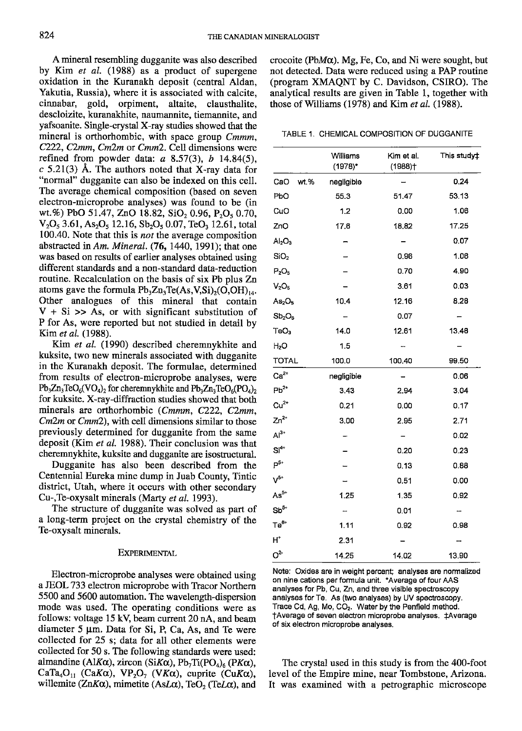A mineral resembling dugganite was also described by Kim et al. (1988) as a product of supergene oxidation in the Kuranakh deposit (central Aldan, Yakutia, Russia), where it is associated with calcite, cinnabar, gold, orpiment, altaite, clausthalite. gold, orpiment, altaite, clausthalite, descloizite, kuranakhite, naumannite, tiemannite, and yafsoanite. Single-crystal X-ray studies showed that the mineral is orthorhombic, with space group Cmmm,  $C222$ ,  $C2mm$ ,  $Cm2m$  or  $Cmm2$ . Cell dimensions were refined from powder data:  $a$  8.57(3),  $b$  14.84(5),  $c$  5.21(3) Å. The authors noted that X-ray data for "normal" dugganite can also be indexed on this cell. The average chemical composition (based on seven electron-microprobe analyses) was found to be (in wt.%) PbO 51.47, ZnO 18.82, SiO<sub>2</sub> 0.96, P<sub>2</sub>O<sub>5</sub> 0.70,  $V_2O_5$  3.61, As<sub>2</sub>O<sub>5</sub> 12.16, Sb<sub>2</sub>O<sub>5</sub> 0.07, TeO<sub>3</sub> 12.61, total 100.40. Note that this is *not* the average composition abstracted in Am. Mineral.  $(76, 1440, 1991)$ ; that one was based on results of earlier analyses obtained using different standards and a non-standard data-reduction routine. Recalculation on the basis of six Pb plus Zn atoms gave the formula  $Pb_3Zn_3Te(As, V, Si)_{2}(O, OH)_{14}$ . Other analogues of this mineral that contain  $V + Si$  >> As, or with significant substitution of P for As, were reported but not studied in detail by Kim et al. (1988).

Kim et al. (1990) described cheremnykhite and kuksite, two new minerals associated with dugganite in the Kuranakh deposit. The formulae, determined from results of electron-microprobe analyses, were  $Pb_3Zn_3TeO_6(VO_4)_2$  for cheremnykhite and  $Pb_3Zn_3TeO_6(PO_4)_2$ for kuksite. X-ray-diffraction studies showed that both minerals are orthorhombic (Cmmm, C222, C2mm,  $Cm2m$  or  $Cmm2$ ), with cell dimensions similar to those previously determined for dugganite from the same deposit (Kim et al. 1988). Their conclusion was that cheremnykhite, kuksite and dugganite are isostructural.

Dugganite has also been described from the Centennial Eureka mine dump in Juab Counry, Tintic district, Utah, where it occurs with other secondary Cu-,Te-oxysalt minerals (Marty et al. 1993).

The structure of dugganite was solved as part of a long-term project on the crystal chemistry of the Te-oxysalt minerals.

#### EXPERIMENTAL

Electron-microprobe analyses were obtained using aJEOL733 electron microprobe with Tracor Northern 5500 and 5600 automation. The wavelength-dispersion mode was used. The operating conditions were as follows: voltage 15 kV, beam current 20 nA, and beam diameter  $5 \mu m$ . Data for Si, P, Ca, As, and Te were collected for 25 s; data for all other elements were collected for 50 s. The following standards were used: almandine (Al $K\alpha$ ), zircon (Si $K\alpha$ ), Pb<sub>7</sub>Ti(PO<sub>4</sub>)<sub>6</sub> (P $K\alpha$ ), CaTa<sub>4</sub>O<sub>11</sub> (CaK $\alpha$ ), VP<sub>2</sub>O<sub>7</sub> (VK $\alpha$ ), cuprite (CuK $\alpha$ ), willemite (ZnK $\alpha$ ), mimetite (AsL $\alpha$ ), TeO<sub>2</sub> (TeL $\alpha$ ), and

crocoite (Pb $M\alpha$ ). Mg, Fe, Co, and Ni were sought, but not detected. Data were reduced using a PAP routine (program XMAQNT by C. Davidson, CSIRO). The analytical results are given in Table l, together with those of Williams (1978) and Kim et al. (1988).

TABLE 1. CHEMICAL COMPOSITION OF DUGGANITE

|                                               | Williams<br>(1978)* | Kim et al.<br>(1988)† | This study‡ |  |  |
|-----------------------------------------------|---------------------|-----------------------|-------------|--|--|
| wt.%<br>CaO                                   | negligible          |                       | 0.24        |  |  |
| PbO                                           | 55.3                | 51.47                 | 53.13       |  |  |
| CuO                                           | 1.2                 | 0.00                  | 1.06        |  |  |
| ZnO                                           | 17.6                | 18.82                 | 17.25       |  |  |
| Al <sub>2</sub> O <sub>3</sub>                |                     |                       | 0.07        |  |  |
| SiO <sub>2</sub>                              |                     | 0.96                  | 1.06        |  |  |
| $P_2O_5$                                      |                     | 0.70                  | 4.90        |  |  |
| V <sub>2</sub> O <sub>5</sub>                 |                     | 3.61                  | 0.03        |  |  |
| As <sub>2</sub> O <sub>5</sub>                | 10.4                | 12.16                 | 8.28        |  |  |
| $Sb_2O_5$                                     |                     | 0.07                  |             |  |  |
| TeO <sub>3</sub>                              | 14.0                | 12.61                 | 13.48       |  |  |
| H2O                                           | 1.5                 |                       |             |  |  |
| <b>TOTAL</b>                                  | 100.0               | 100,40                | 99.50       |  |  |
| $Ca2+$                                        | negligible          | -                     | 0.06        |  |  |
| $Pb^{2+}$                                     | 3.43                | 2.94                  | 3.04        |  |  |
| $Cu2+$                                        | 0.21                | 0.00                  | 0.17        |  |  |
| $Zn^{2+}$                                     | 3.00                | 2.95                  | 2.71        |  |  |
| $Al^{3+}$                                     |                     |                       | 0.02        |  |  |
| $Si^{4+}$                                     |                     | 0.20                  | 0.23        |  |  |
| $P^{5+}$                                      |                     | 0.13                  | 0.88        |  |  |
| $V^{5+}$                                      |                     | 0.51                  | 0.00        |  |  |
| As <sup>5+</sup>                              | 1.25                | 1.35                  | 0.92        |  |  |
| $\mathsf{S}\mathsf{b}^{\mathsf{5}\mathsf{+}}$ |                     | 0.01                  |             |  |  |
| Te <sup>6+</sup>                              | 1.11                | 0.92                  | 0.98        |  |  |
| H,                                            | 2.31                |                       |             |  |  |
| $O^{2}$                                       | 14.25               | 14.02                 | 13.90       |  |  |

Note: Oxides are in weight percent; analyses are normalized on nine cations per formula unit. \*Average of four AAS analyses for Pb, Cu, Zn, and three visible spectroscopy analyses for Te. As (two analyses) by UV spectroscopy. Trace Cd, Ag, Mo, CO<sub>2</sub>. Water by the Penfield method. tAverage of seven electron microprobe analyses. {Average of six electron microprobe analyses.

The crystal used in this study is from the 400-foot level of the Empire mine, near Tombstone, Arizona. It was examined with a petrographic microscope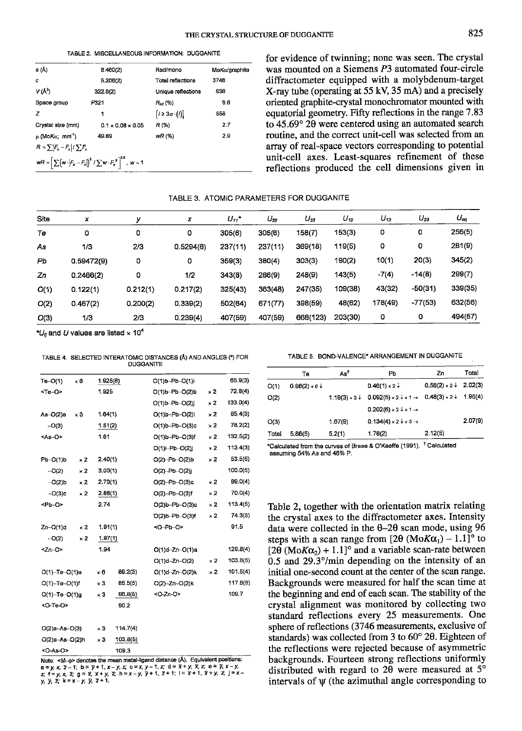TABLE 2. MISCELLANEOUS INFORMATION: DUGGANITE

| a (Å)                                                  | 8.460(2)                                                                                    | Rad/mono                   | MoKa/graphite |
|--------------------------------------------------------|---------------------------------------------------------------------------------------------|----------------------------|---------------|
| c                                                      | 5,206(2)                                                                                    | Total reflections          | 3746          |
| V(Å <sup>3</sup> )                                     | 322.6(2)                                                                                    | Unique reflections         | 638           |
| Space group                                            | P321                                                                                        | $R_{tot}$ (%)              | 9.8           |
| z                                                      | 1                                                                                           | $1 \geq 3\sigma \cdot (1)$ | 558           |
| Crystal size (mm)                                      | $0.1 \times 0.08 \times 0.05$                                                               | R(%)                       | 2.7           |
| μ (Mo <i>Kα</i> ; mm <sup>-1</sup> )                   | 49.89                                                                                       | wR(%)                      | 2.9           |
| $R = \sum_{n} \left[ F_n - F_n \right] / \sum_{n} F_n$ |                                                                                             |                            |               |
|                                                        | $wR = \left[\sum (w \cdot  F_o - F_o \right)^2 / \sum w \cdot F_o^2\right]^{0.8}$ , $w = 1$ |                            |               |
|                                                        |                                                                                             |                            |               |

for evidence of twinning; none was seen. The crystal was mounted on a Siemens P3 automated four-circle diffractometer equipped with a molybdenum-target X-ray tube (operating at 55 kV, 35 mA) and a precisely oriented graphite-crystal monochromator mounted with equatorial geometry. Fifty reflections in the range 7.83 to  $45.69^{\circ}$  20 were centered using an automated search routine, and the correct unit-cell was selected from an array of real-space vectors corresponding to potential unit-cell axes. Least-squares refinement of these reflections produced the cell dimensions given in

#### TABLE 3. ATOMIC PARAMETERS FOR DUGGANITE

| Site | x          | ν        | z         | $U_{11}$ | $U_{22}$ | $U_{33}$ | $U_{12}$ | $U_{13}$ | $U_{23}$  | $U_{eq}$ |
|------|------------|----------|-----------|----------|----------|----------|----------|----------|-----------|----------|
| Тө   | 0          | 0        | 0         | 305(6)   | 305(6)   | 158(7)   | 153(3)   | 0        | 0         | 256(5)   |
| As   | 1/3        | 2/3      | 0.5294(6) | 237(11)  | 237(11)  | 369(18)  | 119(5)   | ٥        | 0         | 281(9)   |
| Pb   | 0.59472(9) | ٥        | ٥         | 359(3)   | 380(4)   | 303(3)   | 190(2)   | 10(1)    | 20(3)     | 345(2)   |
| Zn   | 0.2466(2)  | 0        | 1/2       | 343(8)   | 286(9)   | 248(9)   | 143(5)   | $-7(4)$  | $-14(8)$  | 299(7)   |
| O(1) | 0.122(1)   | 0.212(1) | 0.217(2)  | 325(43)  | 363(48)  | 247(35)  | 109(38)  | 43(32)   | $-50(31)$ | 339(35)  |
| O(2) | 0.467(2)   | 0.200(2) | 0.339(2)  | 502(64)  | 671(77)  | 398(59)  | 48(62)   | 178(49)  | $-77(53)$ | 632(56)  |
| O(3) | 1/3        | 2/3      | 0.239(4)  | 407(59)  | 407(59)  | 668(123) | 203(30)  | 0        | ٥         | 494(57)  |

" $U_{\rm fl}$  and U values are listed  $\times$  10<sup>4</sup>

TABLE 4. SELECTED INTERATOMIC DISTANCES (Å) AND ANGLES (\*) FOR **DUGGANITE** 

| $Te-O(1)$            | $\times$ 6 | 1.925(8)   |          | O(1)b-Pb-O(1)i           |            | 65.9(3)                  |
|----------------------|------------|------------|----------|--------------------------|------------|--------------------------|
| <te-o></te-o>        |            | 1.925      |          | $O(1)b - Pb - O(2)b$     | $\times 2$ | 72.8(4)                  |
|                      |            |            |          | $O(1)b - Pb - O(2)$      | $\times 2$ | 133.0(4)                 |
| $As-O(2)a$           | $\times 3$ | 1.64(1)    |          | $O(1)b - Pb - O(2)i$     | $\times 2$ | 85.4(3)                  |
| $-O(3)$              |            | 1.51(2)    |          | $O(1)b - Pb - O(3)c$     | $\times 2$ | 78.2(2)                  |
| <as-o></as-o>        |            | 1.61       |          | $O(1)b-Pb-O(3)f$         | $\times 2$ | 132.5(2)                 |
|                      |            |            |          | $O(1)$ i-Ph- $O(2)$ j    | $\times 2$ | 113.4(3)                 |
| Pb-O(1)b             | $\times 2$ | 2.40(1)    |          | $O(2) - Pb - O(2) b$     | $\times 2$ | 53.5(5)                  |
| $-O(2)$              | ×2         | 3.00(1)    |          | $O(2) - Pb - O(2)$ j     |            | 100.0(5)                 |
| $-O(2)b$             | $\times 2$ | 2.70(1)    |          | $O(2) - Pb - O(3)c$      | $\times 2$ | 89.0(4)                  |
| $-O(3)c$             | $\times 2$ | 2.86(1)    |          | $O(2) - Pb - O(3) f$     | $\times 2$ | 70.0(4)                  |
| <pb-o></pb-o>        |            | 2.74       |          | $O(2)$ b-Pb- $O(3)c$     | $\times 2$ | 113.4(5)                 |
|                      |            |            |          | O(2)b-Pb-O(3)f           | $\times 2$ | 74.3(5)                  |
| Zn-O(1)d             | $\times 2$ | 1.91(1)    |          | <o-pb-o></o-pb-o>        |            | 91.5                     |
| $-O(2)$              | $\times 2$ | 1.97(1)    |          |                          |            |                          |
| $2n-O$               |            | 1.94       |          | $O(1)d - Zn - O(1)a$     |            | 129.8(4)                 |
|                      |            |            |          | $O(1)d - Zn - O(2)$      | $\times 2$ | 103.8(5)                 |
| $O(1) - Te - O(1)e$  |            | ×θ         | 89.2(3)  | $O(1)d - Zn - O(2)k$     | × 2        | 101.5(4)                 |
| $O(1)$ -Te- $O(1)$ f |            | $\times 3$ | 85.5(5)  | $O(2) - Zn - O(2)k$      |            | 117.8(8)                 |
| $O(1) - Te - O(1)q$  |            | ×3         | 96.8(5)  | <0-Zn-0>                 |            | 109.7                    |
| <o-te-o></o-te-o>    |            |            | 90.2     |                          |            |                          |
| $O(2)a - As - O(3)$  |            | $\times 3$ | 114.7(4) |                          |            |                          |
| $O(2)a - As - O(2)h$ |            | $\times 3$ | 103.8(5) |                          |            |                          |
| <o-as-o></o-as-o>    |            |            | 109.3    |                          |            |                          |
|                      |            |            |          | $\overline{\cdots}$<br>÷ |            | $\overline{\phantom{a}}$ |

Note:  $\kappa M$   $\to$  denotes the mean metal-ligand distance (A). Equivalent positions:<br>a = y, x, z - 1; b = y + 1, x - y, z; c = x, y - 1, z; d = x + y, x, z; e = y, x - y,<br>z; f = y, x, z; g = x, x + y, z; h = x - y, y + 1,

TABLE 5. BOND-VALENCE\* ARRANGEMENT IN DUGGANITE

|       | Те              | As <sup>t</sup>      | Pb                                              | Zn                                    | Total   |
|-------|-----------------|----------------------|-------------------------------------------------|---------------------------------------|---------|
| O(1)  | $0.98(2) * 6 +$ |                      | $0.46(1) \times 2 \downarrow$                   | $0.58(2) \times 2 \downarrow 2.02(3)$ |         |
| O(2)  |                 | $1.18(3) \times 3 +$ | $0.092(5) \times 2 \cdot 1 \cdot 1 \rightarrow$ | $0.48(3) \times 2 \downarrow 1.95(4)$ |         |
|       |                 |                      | $0.202(6) \times 2 \times 1 \rightarrow$        |                                       |         |
| O(3)  |                 | 1.67(9)              | $0.134(4) \times 2 \times 3 \rightarrow$        |                                       | 2.07(9) |
| Total | 5,88(5)         | 5.2(1)               | 1.78(2)                                         | 2.12(5)                               |         |

\*Calculated from the curves of Brese & O'Keeffe (1991). <sup>†</sup> Calculated assuming 54% As and 46% P.

Table 2, together with the orientation matrix relating the crystal axes to the diffractometer axes. Intensity data were collected in the  $\theta$ -2 $\theta$  scan mode, using 96 steps with a scan range from [2 $\theta$  (MoK $\alpha_1$ ) – 1.1]<sup>o</sup> to [ $2\theta$  (MoK $\alpha_2$ ) + 1.1]<sup>o</sup> and a variable scan-rate between  $0.5$  and  $29.3^{\circ}/\text{min}$  depending on the intensity of an initial one-second count at the center of the scan range. Backgrounds were measured for half the scan time at the beginning and end of each scan. The stability of the crystal alignment was monitored by collecting two standard reflections every 25 measurements. One sphere of reflections (3746 measurements, exclusive of standards) was collected from 3 to 60° 20. Eighteen of the reflections were rejected because of asymmetric backgrounds. Fourteen strong reflections uniformly distributed with regard to 20 were measured at  $5^{\circ}$ intervals of w (the azimuthal angle corresponding to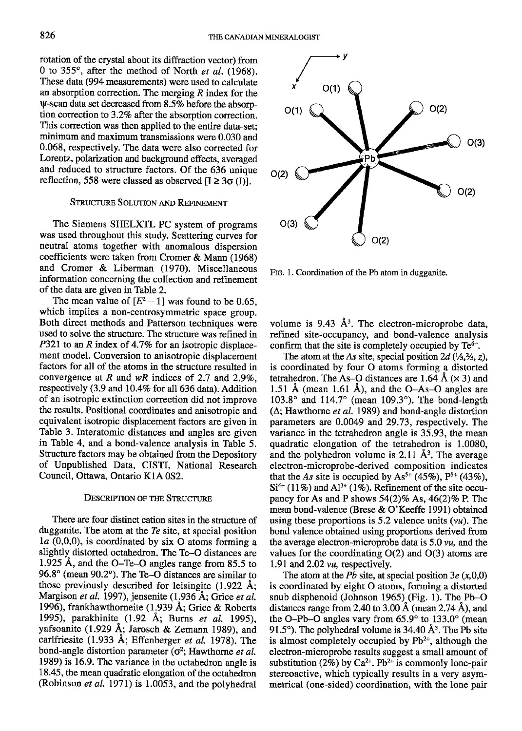rotation of the crystal about its diffraction vector) from 0 to 355 $^{\circ}$ , after the method of North *et al.* (1968). These data (994 measurements) were used to calculare an absorption correction. The merging  *index for the* y-scan data set decreased ftom8.5Vo before the absorption correction to 3.2% after the absorption correction. This correction was then applied to the entire data-ser; minimum and maximum transmissions were 0.030 and 0.068, respectively. The data were also corrected for Lorentz, polarization and background effecs, averaged and reduced to structure factors. Of the 636 unique reflection, 558 were classed as observed  $[I \geq 3\sigma(I)].$ 

## STRUCTURE SOLUTION AND REFINEMENT

The Siemens SHELXTL PC system of programs was used throughout this study. Scafiering curyes for neutral atoms together with anomalous dispersion coefficients were taken from Cromer & Mann (1968) and Cromer & Liberman (1970). Miscellaneous information concerning the collection and refinement of the data are given in Table 2.

The mean value of  $[E^2 - 1]$  was found to be 0.65, which implies a non-centrosymmetric space group. Both direct methods and Patterson techniques were used to solve the structure. The structure was refined in P321 to an R index of 4.7% for an isotropic displacement model. Conversion to anisotropic displacement factors for all of the atoms in the structure resulted in convergence at R and  $wR$  indices of 2.7 and 2.9%, respectively (3.9 and 10.4% for all 636 data). Addition of an isotropic extinction correction did not improve the results. Positional coordinates and anisotropic and equivalent isotropic displacement factors are given in Table 3. Interatomic distances and angles are given in Table 4, and, a bond-valence analysis in Table 5. Structure factors may be obtained from the Depository of Unpublished Data, CISTI, National Research Council, Ottawa, Ontario KIA 0S2.

# DESCRIPTION OF THE STRUCTURE

There are four distinct cation sites in the structure of dugganite. The atom at the Te site, at special position  $l_a$  (0,0,0), is coordinated by six O atoms forming a slightly distorted octahedron. The Te-O distances are 1.925 A, and the O-Te-O angles range from 85.5 to 96.8" (mean 90.2'). The Te-O distances are similar to those previously described for leisingite  $(1.922 \text{ Å})$ ; Margison et al. 1997), jensenite (1.936 Å; Grice et al. 1996), frankhawthorneite (1.939 A; Grice & Roberts 1995), parakhinite (1.92 Å; Burns et al. 1995), yafsoanite (1.929 A; Jarosch & Zemann 1989), and carlfriesite (1.933 Å; Effenberger et al. 1978). The bond-angle distortion parameter ( $\sigma^2$ ; Hawthorne *et al.* 1989) is 16.9. The variance in the octahedron angle is 18.45, the mean quadratic elongation of the octahedron (Robinson *et al.* 1971) is 1.0053, and the polyhedral



Ftc. 1. Coordination of the Pb atom in dugganite.

volume is 9.43  $\AA$ <sup>3</sup>. The electron-microprobe data, refined site-occupancy, and bond-valence analysis confirm that the site is completely occupied by  $Te^{6+}$ .

The atom at the As site, special position  $2d \frac{1}{3}$ ,  $\frac{2}{3}$ ,  $z$ ), is coordinated by four O atoms forming a distorted tetrahedron. The As–O distances are 1.64 Å  $(\times 3)$  and 1.51 Å (mean 1.61 Å), and the O-As-O angles are  $103.8^{\circ}$  and  $114.7^{\circ}$  (mean  $109.3^{\circ}$ ). The bond-length  $(\Delta;$  Hawthorne *et al.* 1989) and bond-angle distortion parameters are 0.0049 and 29.73, respectively. The variance in the tetrahedron angle is 35.93, the mean quadratic elongation of the tetrahedron is 1.0080, and the polyhedron volume is 2.11  $\AA^3$ . The average electron-microprobe-derived composition indicates that the As site is occupied by  $\text{As}^{5+}$  (45%),  $\text{P}^{5+}$  (43%),  $Si<sup>4+</sup> (11%)$  and  $Al<sup>3+</sup> (1%)$ . Refinement of the site occupancy for As and P shows  $54(2)\%$  As,  $46(2)\%$  P. The mean bond-valence (Brese  $& O$ 'Keeffe 1991) obtained using these proportions is 5.2 valence units  $(vu)$ . The bond valence obtained using proportions derived from the average electron-microprobe data is  $5.0 \nu u$ , and the values for the coordinating  $O(2)$  and  $O(3)$  atoms are 1.91 and 2.02 *vu*, respectively.

The atom at the Pb site, at special position  $3e(x,0,0)$ is coordinated by eight O atoms, forming a distorted snub disphenoid (Johnson 1965) (Fig. 1). The Pb-O distances range from 2.40 to 3.00 Å (mean 2.74 Å), and the O-Pb-O angles vary from  $65.9^{\circ}$  to  $133.0^{\circ}$  (mean 91.5°). The polyhedral volume is 34.40  $\AA$ <sup>3</sup>. The Pb site is almost completely occupied by  $Pb^{2+}$ , although the electron-microprobe results suggest a small amount of substitution (2%) by Ca<sup>2+</sup>. Pb<sup>2+</sup> is commonly lone-pair stereoactive, which typically results in a very asymmetrical (one-sided) coordination, with the lone pair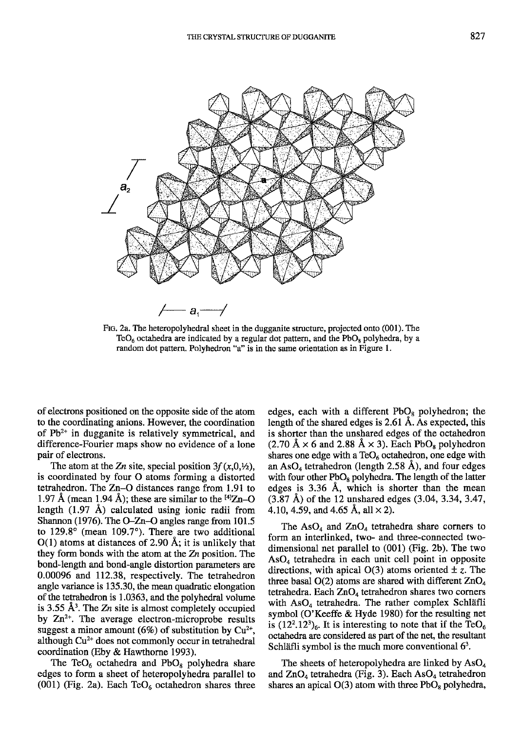

Frc. 2a. The heteropolyhedral sheet in the dugganite structure, projected onto (001). The TeO<sub>6</sub> octahedra are indicated by a regular dot pattern, and the PbO<sub>s</sub> polyhedra, by a random dot pattern. Polyhedron "a" is in the same orientation as in Figure 1.

of electrons positioned on the opposite side of the atom to the coordinating anions. However, the coordination of  $Pb^{2+}$  in dugganite is relatively symmetrical, and difference-Fourier maps show no evidence of a lone pair of electrons.

The atom at the Zn site, special position  $3f(x,0,\n%$ , is coordinated by four O atoms forming a distorted tetrahedron. The  $Zn-O$  distances range from 1.91 to 1.97 Å (mean 1.94 Å); these are similar to the  $^{[4]}Zn-O$ length (1.97 A) calculated using ionic radii from Shannon (1976). The O-Zn-O angles range from  $101.5$ to 129.8° (mean 109.7°). There are two additional  $O(1)$  atoms at distances of 2.90 Å; it is unlikely that they form bonds with the atom at the  $Z_n$  position. The bond-length and bond-angle distortion parameters are 0.00096 and 112.38, respectively. The tetrahedron angle variance is 135.30, the mean quadratic elongation of the tetrahedron is 1.0363, and the polyhedral volume is 3.55  $\AA$ <sup>3</sup>. The Zn site is almost completely occupied by  $Zn^{2+}$ . The average electron-microprobe results suggest a minor amount (6%) of substitution by  $Cu^{2+}$ , although  $Cu<sup>2+</sup>$  does not commonly occur in tetrahedral coordination (Eby & Hawthorne 1993).

The TeO<sub>6</sub> octahedra and PbO<sub>8</sub> polyhedra share edges to form a sheet of heteropolyhedra parallel to (001) (Fig. 2a). Each  $TeO<sub>6</sub>$  octahedron shares three edges, each with a different  $PbO_8$  polyhedron; the length of the shared edges is 2.61 A. As expected, this is shorter than the unshared edges of the octahedron  $(2.70 \text{ Å} \times 6 \text{ and } 2.88 \text{ Å} \times 3)$ . Each PbO<sub>s</sub> polyhedron shares one edge with a  $TeO<sub>6</sub>$  octahedron, one edge with an  $AsO<sub>4</sub>$  tetrahedron (length 2.58 Å), and four edges with four other  $PbO_8$  polyhedra. The length of the latter edges is 3.36 A, which is shorter than the mean  $(3.87 \text{ Å})$  of the 12 unshared edges  $(3.04, 3.34, 3.47, ...)$ 4.10, 4.59, and 4.65 Å, all  $\times$  2).

The  $AsO<sub>4</sub>$  and  $ZnO<sub>4</sub>$  tetrahedra share corners to form an interlinked, two- and three-connected twodimensional ner parallel to (001) (Fig. 2b). The two  $AsO<sub>4</sub>$  tetrahedra in each unit cell point in opposite directions, with apical  $O(3)$  atoms oriented  $\pm z$ . The three basal  $O(2)$  atoms are shared with different  $ZnO<sub>4</sub>$ tetrahedra. Each  $ZnO_4$  tetrahedron shares two corners with  $AsO<sub>4</sub>$  tetrahedra. The rather complex Schläfli symbol (O'Keeffe & Hyde 1980) for the resulting net is  $(12^2.12^3)_6$ . It is interesting to note that if the TeO<sub>6</sub> octahedra are considered as part of the net, the resultant Schläfli symbol is the much more conventional  $6<sup>3</sup>$ .

The sheets of heteropolyhedra are linked by  $AsO<sub>4</sub>$ and  $ZnO<sub>4</sub>$  tetrahedra (Fig. 3). Each As $O<sub>4</sub>$  tetrahedron shares an apical  $O(3)$  atom with three PbO<sub>8</sub> polyhedra,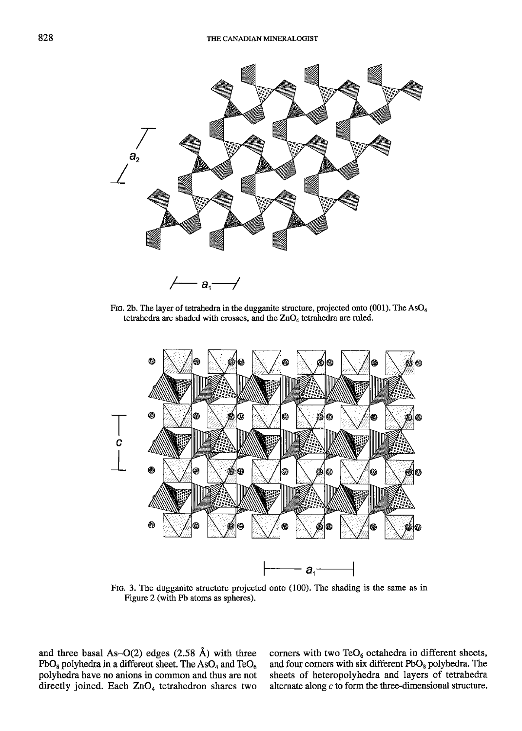

FIG. 2b. The layer of tetrahedra in the dugganite structure, projected onto (001). The AsO<sub>4</sub> tetrahedra are shaded with crosses, and the  $ZnO<sub>4</sub>$  tetrahedra are ruled.



FIG. 3. The dugganite structure projected onto (100). The shading is the same as in Figure 2 (with Pb atoms as spheres).

and three basal As-O(2) edges  $(2.58 \text{ Å})$  with three  $PbO_8$  polyhedra in a different sheet. The As $O_4$  and Te $O_6$ polyhedra have no anions in common and thus are not directly joined. Each ZnO<sub>4</sub> tetrahedron shares two corners with two TeO $_6$  octahedra in different sheets, and four corners with six different  $PbO_8$  polyhedra. The sheets of heteropolyhedra and layers of tetrahedra alternate along  $c$  to form the three-dimensional structure.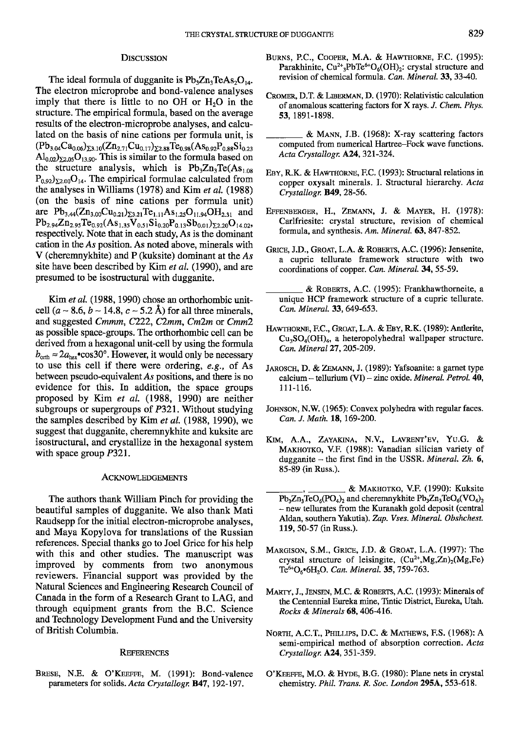# **DISCUSSION**

The ideal formula of dugganite is  $Pb_3Zn_3TeAs_2O_{14}$ . The electron microprobe and bond-valence analyses imply that there is little to no  $OH$  or  $H<sub>2</sub>O$  in the structure. The empirical formula, based on the average results of the electron-microprobe analyses, and calculated on the basis of nine cations per formula unit, is  $(Pb_{3,04}Ca_{0.06})_{\Sigma 3.10}(Zn_{2.71}Cu_{0.17})_{\Sigma 2.88}Te_{0.98}(As_{0.92}P_{0.88}Si_{0.23})$  $\text{Al}_{0.02}$ )<sub>22.05</sub>O<sub>13.90</sub>. This is similar to the formula based on the structure analysis, which is  $Pb_3Zn_3Te(As_{1.08})$  $P_{0.92}$ <sub>2.00</sub> $O_{14}$ . The empirical formulae calculated from the analyses in Williams  $(1978)$  and Kim *et al.*  $(1988)$ (on the basis of nine cations per formula unit) are  $Pb_{3,44}(Zn_{3,00}Cu_{0,21})_{\Sigma3,21}Te_{1,11}As_{1,25}O_{11,94}OH_{2,31}$  and  $Pb_{2.94}Zn_{2.95}Te_{0.92}(As_{1.35}V_{0.51}Si_{0.20}P_{0.13}Sb_{0.01})_{\Sigma2.20}O_{14.02},$ respectively. Note that in each study, As is the dominant cation in the As position. As noted above, minerals with V (cheremnykhite) and P (kuksite) dominant at the As site have been described by Kim et al. (1990), and are presumed to be isostructural with dugganite.

Kim et al. (1988, 1990) chose an orthorhombic unitcell  $(a \sim 8.6, b \sim 14.8, c \sim 5.2$  Å) for all three minerals, and suggested Cmmm, C222, C2mm, Cm2m or Cmm2 as possible space-groups. The orthorhombic cell can be derived from a hexagonal unit-cell by using the formula  $b_{\text{orth}} \approx 2a_{\text{hex}}$  cos30°. However, it would only be necessary to use this cell if there were ordering, e.g., of As between pseudo-equivalent As positions, and there is no evidence for this. In addition, the space groups proposed by Kim et al. (1988, 1990) are neither subgroups or supergroups of  $P321$ . Without studying the samples described by Kim et al. (1988, 1990), we suggest that dugganite, cheremnykhite and kuksite are isostructural, and crystallize in the hexagonal system with space group P321.

#### ACKNOWLEDGEMENTS

The authors thank William Pinch for providing the beautiful samples of dugganite. We also thank Mati Raudsepp for the initial electron-microprobe analyses, and Maya Kopylova for translations of the Russian references. Special thanks go to Joel Grice for his help with this and other studies. The manuscript was improved by comments from two anonymous reviewers. Financial support was provided by the Natural Sciences and Engineering Research Council of Canada in the form of a Research Grant to LAG, and through equipment grants from the B.C. Science and Technology Development Fund and the University of British Columbia.

#### **REFERENCES**

BRESE, N.E. & O'KEEFFE, M. (1991): Bond-valence parameters for solids. Acta Crystallogr. B47, 192-197.

- BURNS, P.C., COOPER, M.A. & HAWTHORNE, F.C. (1995): Parakhinite,  $Cu^{2+}{}_{3}PbTe^{6+}O_6(OH)_{2}$ : crystal structure and revision of chemical formula. Can. Mineral, 33,3340.
- CROMER, D.T. & LIBERMAN, D. (1970): Relativistic calculation of anomalous scattering factors for X rays. J. Chem. Phys. 53, 1891-1898.
- & MANN, J.B. (1968): X-ray scattering factors computed from numerical Hartree-Fock wave functions. Acta Crystallogr. A24, 321-324.
- EBY, R.K. & HAWTHORNE, F.C. (1993): Structural relations in copper oxysalt minerals. I. Structural hierarchy. Acta Crystallogr. B49, 28-56.
- EFFENBERGER, H., ZEMANN, J. & MAYER, H. (1978): Carlfriesite: crystal structure, revision of chemical formula, and synthesis. Am. Mineral. 63, 847 -852.
- GRICE, J.D., GROAT, L.A. & ROBERTS, A.C. (1996): Jensenite, a cupric tellurate framework structure with two coordinations of copper. Can. Mineral.34, 55-59.
- & RoBERrs, A.C. (1995): Frankhawthorneite, a unique HCP framework structure of a cupric tellurate. Can. Mineral. 33, 649-653.
- HAWTHORNE, F.C., GROAT, L.A. & EBY, R.K. (1989): Antlerite,  $Cu<sub>3</sub>SO<sub>4</sub>(OH)<sub>4</sub>$ , a heteropolyhedral wallpaper structure. Can. Mineral 27, 205-209.
- JAROSCH, D. & ZEMANN, J. (1989): Yafsoanite: a garnet type  $calcium - tellurium (VI) - zinc oxide. *Mineral. Petrol.* 40,$ 111-116.
- JoHNsoN, N.W. (1965): Convex polyhedra with regular faces. Can. J. Math. 18, 169-200.
- KIM, A.A., ZAYAKINA, N.V., LAVRENT'EV, YU.G. & MAKHOTKO, V.F. (1988): Vanadian silician variety of dugganite  $-$  the first find in the USSR. Mineral. Zh. 6, 85-89 (in Russ.).
- & Marulorro, V.F. (1990): Kuksite  $Pb_3Zn_3TeO_6(PO_4)_2$  and cheremnykhite  $Pb_3Zn_3TeO_6(VO_4)_2$ - new tellurates from the Kuranakh gold deposit (central Aldan, southern Yakutia). Zap. Vses. Mineral. Obshchest. 119, 50-57 (in Russ.).
- MARGISON, S.M., GRICE, J.D. & GROAT, L.A. (1997): The crystal structure of leisingite,  $(Cu^{2+}Mg,Zn)_{2}(Mg,Fe)$ Te<sup>6+</sup>O<sub>6</sub> $\cdot$ 6H<sub>2</sub>O. Can. Mineral. 35, 759-763.
- MARTY, J., JENSEN, M.C. & ROBERTS, A.C. (1993): Minerals of the Centennial Eureka mine, Tintic District, Eureka, Utah. Rocks & Minerals 68, 406-416.
- NORTH, A.C.T., PHILLIPS, D.C. & MATHEWS, F.S. (1968): A semi-empirical method of absorption correction. Acta Crystallogr. A24, 351-359.
- O'KEEFFE, M.O. & HYDE, B.G. (1980): Plane nets in crystal chemistry. Phil. Trans. R. Soc. London 295A, 553-618.